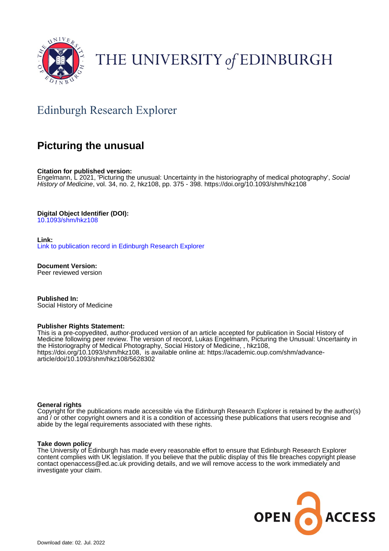

# THE UNIVERSITY of EDINBURGH

## Edinburgh Research Explorer

## **Picturing the unusual**

**Citation for published version:**

Engelmann, L 2021, 'Picturing the unusual: Uncertainty in the historiography of medical photography', Social History of Medicine, vol. 34, no. 2, hkz108, pp. 375 - 398. <https://doi.org/10.1093/shm/hkz108>

**Digital Object Identifier (DOI):**

[10.1093/shm/hkz108](https://doi.org/10.1093/shm/hkz108)

**Link:**

[Link to publication record in Edinburgh Research Explorer](https://www.research.ed.ac.uk/en/publications/c07ea968-84d5-43b5-bc09-9c7a7423be8c)

**Document Version:** Peer reviewed version

**Published In:** Social History of Medicine

#### **Publisher Rights Statement:**

This is a pre-copyedited, author-produced version of an article accepted for publication in Social History of Medicine following peer review. The version of record, Lukas Engelmann, Picturing the Unusual: Uncertainty in the Historiography of Medical Photography, Social History of Medicine, , hkz108, https://doi.org/10.1093/shm/hkz108, is available online at: https://academic.oup.com/shm/advancearticle/doi/10.1093/shm/hkz108/5628302

#### **General rights**

Copyright for the publications made accessible via the Edinburgh Research Explorer is retained by the author(s) and / or other copyright owners and it is a condition of accessing these publications that users recognise and abide by the legal requirements associated with these rights.

#### **Take down policy**

The University of Edinburgh has made every reasonable effort to ensure that Edinburgh Research Explorer content complies with UK legislation. If you believe that the public display of this file breaches copyright please contact openaccess@ed.ac.uk providing details, and we will remove access to the work immediately and investigate your claim.

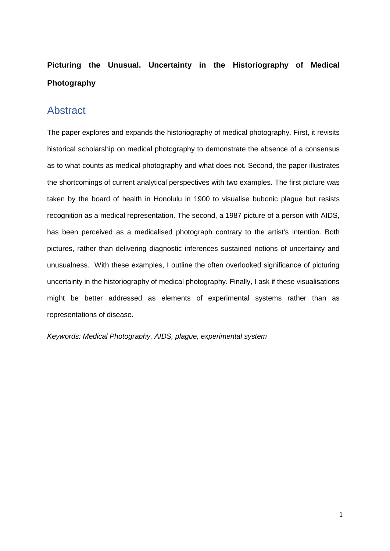## **Picturing the Unusual. Uncertainty in the Historiography of Medical Photography**

#### **Abstract**

The paper explores and expands the historiography of medical photography. First, it revisits historical scholarship on medical photography to demonstrate the absence of a consensus as to what counts as medical photography and what does not. Second, the paper illustrates the shortcomings of current analytical perspectives with two examples. The first picture was taken by the board of health in Honolulu in 1900 to visualise bubonic plague but resists recognition as a medical representation. The second, a 1987 picture of a person with AIDS, has been perceived as a medicalised photograph contrary to the artist's intention. Both pictures, rather than delivering diagnostic inferences sustained notions of uncertainty and unusualness. With these examples, I outline the often overlooked significance of picturing uncertainty in the historiography of medical photography. Finally, I ask if these visualisations might be better addressed as elements of experimental systems rather than as representations of disease.

*Keywords: Medical Photography, AIDS, plague, experimental system*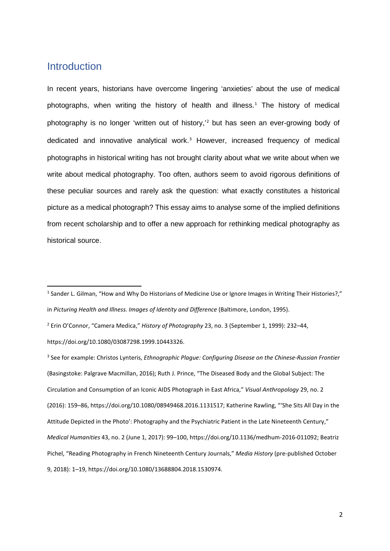### Introduction

In recent years, historians have overcome lingering 'anxieties' about the use of medical photographs, when writing the history of health and illness.<sup>[1](#page-2-0)</sup> The history of medical photography is no longer 'written out of history,'[2](#page-2-1) but has seen an ever-growing body of dedicated and innovative analytical work.<sup>[3](#page-2-2)</sup> However, increased frequency of medical photographs in historical writing has not brought clarity about what we write about when we write about medical photography. Too often, authors seem to avoid rigorous definitions of these peculiar sources and rarely ask the question: what exactly constitutes a historical picture as a medical photograph? This essay aims to analyse some of the implied definitions from recent scholarship and to offer a new approach for rethinking medical photography as historical source.

<span id="page-2-0"></span><sup>&</sup>lt;sup>1</sup> Sander L. Gilman, "How and Why Do Historians of Medicine Use or Ignore Images in Writing Their Histories?," in *Picturing Health and Illness. Images of Identity and Difference* (Baltimore, London, 1995).

<span id="page-2-1"></span><sup>2</sup> Erin O'Connor, "Camera Medica," *History of Photography* 23, no. 3 (September 1, 1999): 232–44, https://doi.org/10.1080/03087298.1999.10443326.

<span id="page-2-2"></span><sup>3</sup> See for example: Christos Lynteris, *Ethnographic Plague: Configuring Disease on the Chinese-Russian Frontier* (Basingstoke: Palgrave Macmillan, 2016); Ruth J. Prince, "The Diseased Body and the Global Subject: The Circulation and Consumption of an Iconic AIDS Photograph in East Africa," *Visual Anthropology* 29, no. 2 (2016): 159–86, https://doi.org/10.1080/08949468.2016.1131517; Katherine Rawling, "'She Sits All Day in the Attitude Depicted in the Photo': Photography and the Psychiatric Patient in the Late Nineteenth Century," *Medical Humanities* 43, no. 2 (June 1, 2017): 99–100, https://doi.org/10.1136/medhum-2016-011092; Beatriz Pichel, "Reading Photography in French Nineteenth Century Journals," *Media History* (pre-published October 9, 2018): 1–19, https://doi.org/10.1080/13688804.2018.1530974.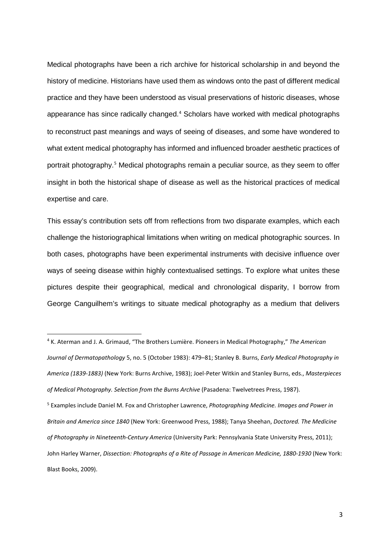Medical photographs have been a rich archive for historical scholarship in and beyond the history of medicine. Historians have used them as windows onto the past of different medical practice and they have been understood as visual preservations of historic diseases, whose appearance has since radically changed.[4](#page-3-0) Scholars have worked with medical photographs to reconstruct past meanings and ways of seeing of diseases, and some have wondered to what extent medical photography has informed and influenced broader aesthetic practices of portrait photography.[5](#page-3-1) Medical photographs remain a peculiar source, as they seem to offer insight in both the historical shape of disease as well as the historical practices of medical expertise and care.

This essay's contribution sets off from reflections from two disparate examples, which each challenge the historiographical limitations when writing on medical photographic sources. In both cases, photographs have been experimental instruments with decisive influence over ways of seeing disease within highly contextualised settings. To explore what unites these pictures despite their geographical, medical and chronological disparity, I borrow from George Canguilhem's writings to situate medical photography as a medium that delivers

<span id="page-3-1"></span><span id="page-3-0"></span> <sup>4</sup> K. Aterman and J. A. Grimaud, "The Brothers Lumière. Pioneers in Medical Photography," *The American Journal of Dermatopathology* 5, no. 5 (October 1983): 479–81; Stanley B. Burns, *Early Medical Photography in America (1839-1883)* (New York: Burns Archive, 1983); Joel-Peter Witkin and Stanley Burns, eds., *Masterpieces of Medical Photography. Selection from the Burns Archive* (Pasadena: Twelvetrees Press, 1987). <sup>5</sup> Examples include Daniel M. Fox and Christopher Lawrence, *Photographing Medicine. Images and Power in Britain and America since 1840* (New York: Greenwood Press, 1988); Tanya Sheehan, *Doctored. The Medicine of Photography in Nineteenth-Century America* (University Park: Pennsylvania State University Press, 2011); John Harley Warner, *Dissection: Photographs of a Rite of Passage in American Medicine, 1880-1930* (New York: Blast Books, 2009).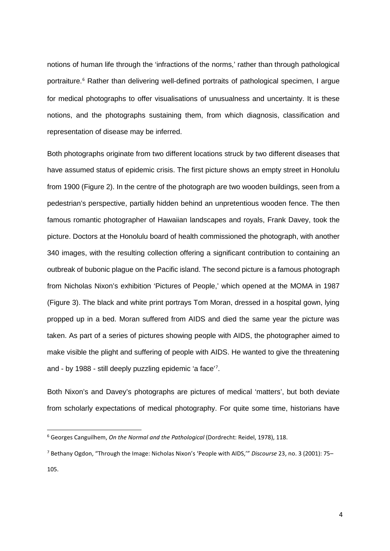notions of human life through the 'infractions of the norms,' rather than through pathological portraiture. [6](#page-4-0) Rather than delivering well-defined portraits of pathological specimen, I argue for medical photographs to offer visualisations of unusualness and uncertainty. It is these notions, and the photographs sustaining them, from which diagnosis, classification and representation of disease may be inferred.

Both photographs originate from two different locations struck by two different diseases that have assumed status of epidemic crisis. The first picture shows an empty street in Honolulu from 1900 (Figure 2). In the centre of the photograph are two wooden buildings, seen from a pedestrian's perspective, partially hidden behind an unpretentious wooden fence. The then famous romantic photographer of Hawaiian landscapes and royals, Frank Davey, took the picture. Doctors at the Honolulu board of health commissioned the photograph, with another 340 images, with the resulting collection offering a significant contribution to containing an outbreak of bubonic plague on the Pacific island. The second picture is a famous photograph from Nicholas Nixon's exhibition 'Pictures of People,' which opened at the MOMA in 1987 (Figure 3). The black and white print portrays Tom Moran, dressed in a hospital gown, lying propped up in a bed. Moran suffered from AIDS and died the same year the picture was taken. As part of a series of pictures showing people with AIDS, the photographer aimed to make visible the plight and suffering of people with AIDS. He wanted to give the threatening and - by 1988 - still deeply puzzling epidemic 'a face' [7](#page-4-1) .

Both Nixon's and Davey's photographs are pictures of medical 'matters', but both deviate from scholarly expectations of medical photography. For quite some time, historians have

<span id="page-4-0"></span> <sup>6</sup> Georges Canguilhem, *On the Normal and the Pathological* (Dordrecht: Reidel, 1978), 118.

<span id="page-4-1"></span><sup>7</sup> Bethany Ogdon, "Through the Image: Nicholas Nixon's 'People with AIDS,'" *Discourse* 23, no. 3 (2001): 75– 105.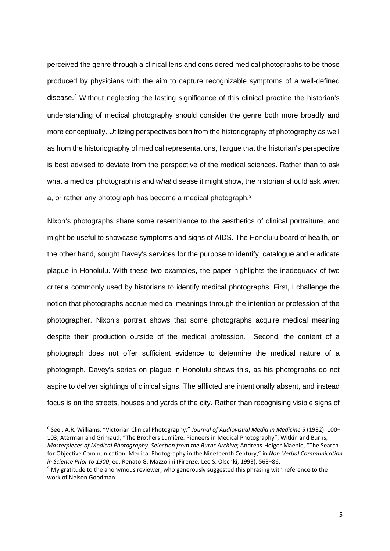perceived the genre through a clinical lens and considered medical photographs to be those produced by physicians with the aim to capture recognizable symptoms of a well-defined disease.<sup>[8](#page-5-0)</sup> Without neglecting the lasting significance of this clinical practice the historian's understanding of medical photography should consider the genre both more broadly and more conceptually. Utilizing perspectives both from the historiography of photography as well as from the historiography of medical representations, I argue that the historian's perspective is best advised to deviate from the perspective of the medical sciences. Rather than to ask what a medical photograph is and *what* disease it might show, the historian should ask *when* a, or rather any photograph has become a medical photograph.<sup>[9](#page-5-1)</sup>

Nixon's photographs share some resemblance to the aesthetics of clinical portraiture, and might be useful to showcase symptoms and signs of AIDS. The Honolulu board of health, on the other hand, sought Davey's services for the purpose to identify, catalogue and eradicate plague in Honolulu. With these two examples, the paper highlights the inadequacy of two criteria commonly used by historians to identify medical photographs. First, I challenge the notion that photographs accrue medical meanings through the intention or profession of the photographer. Nixon's portrait shows that some photographs acquire medical meaning despite their production outside of the medical profession. Second, the content of a photograph does not offer sufficient evidence to determine the medical nature of a photograph. Davey's series on plague in Honolulu shows this, as his photographs do not aspire to deliver sightings of clinical signs. The afflicted are intentionally absent, and instead focus is on the streets, houses and yards of the city. Rather than recognising visible signs of

<span id="page-5-0"></span> 8 See : A.R. Williams, "Victorian Clinical Photography," *Journal of Audiovisual Media in Medicine* 5 (1982): 100– 103; Aterman and Grimaud, "The Brothers Lumière. Pioneers in Medical Photography"; Witkin and Burns, *Masterpieces of Medical Photography. Selection from the Burns Archive*; Andreas-Holger Maehle, "The Search for Objective Communication: Medical Photography in the Nineteenth Century," in *Non-Verbal Communication in Science Prior to 1900*, ed. Renato G. Mazzolini (Firenze: Leo S. Olschki, 1993), 563–86.

<span id="page-5-1"></span><sup>9</sup> My gratitude to the anonymous reviewer, who generously suggested this phrasing with reference to the work of Nelson Goodman.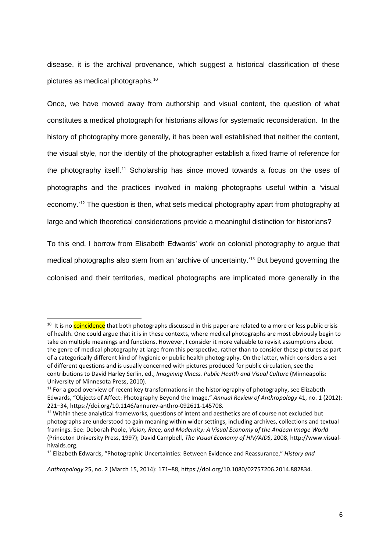disease, it is the archival provenance, which suggest a historical classification of these pictures as medical photographs.[10](#page-6-0)

Once, we have moved away from authorship and visual content, the question of what constitutes a medical photograph for historians allows for systematic reconsideration. In the history of photography more generally, it has been well established that neither the content, the visual style, nor the identity of the photographer establish a fixed frame of reference for the photography itself.[11](#page-6-1) Scholarship has since moved towards a focus on the uses of photographs and the practices involved in making photographs useful within a 'visual economy.' [12](#page-6-2) The question is then, what sets medical photography apart from photography at large and which theoretical considerations provide a meaningful distinction for historians?

To this end, I borrow from Elisabeth Edwards' work on colonial photography to argue that medical photographs also stem from an 'archive of uncertainty.'[13](#page-6-3) But beyond governing the colonised and their territories, medical photographs are implicated more generally in the

<span id="page-6-0"></span><sup>&</sup>lt;sup>10</sup> It is no coincidence that both photographs discussed in this paper are related to a more or less public crisis of health. One could argue that it is in these contexts, where medical photographs are most obviously begin to take on multiple meanings and functions. However, I consider it more valuable to revisit assumptions about the genre of medical photography at large from this perspective, rather than to consider these pictures as part of a categorically different kind of hygienic or public health photography. On the latter, which considers a set of different questions and is usually concerned with pictures produced for public circulation, see the contributions to David Harley Serlin, ed., *Imagining Illness. Public Health and Visual Culture* (Minneapolis: University of Minnesota Press, 2010).

<span id="page-6-1"></span><sup>&</sup>lt;sup>11</sup> For a good overview of recent key transformations in the historiography of photography, see Elizabeth Edwards, "Objects of Affect: Photography Beyond the Image," *Annual Review of Anthropology* 41, no. 1 (2012): 221–34, https://doi.org/10.1146/annurev-anthro-092611-145708.

<span id="page-6-2"></span><sup>&</sup>lt;sup>12</sup> Within these analytical frameworks, questions of intent and aesthetics are of course not excluded but photographs are understood to gain meaning within wider settings, including archives, collections and textual framings. See: Deborah Poole, *Vision, Race, and Modernity: A Visual Economy of the Andean Image World* (Princeton University Press, 1997); David Campbell, *The Visual Economy of HIV/AIDS*, 2008, http://www.visualhivaids.org.

<span id="page-6-3"></span><sup>13</sup> Elizabeth Edwards, "Photographic Uncertainties: Between Evidence and Reassurance," *History and* 

*Anthropology* 25, no. 2 (March 15, 2014): 171–88, https://doi.org/10.1080/02757206.2014.882834.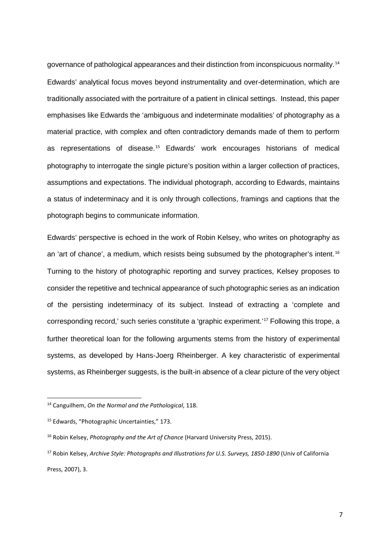governance of pathological appearances and their distinction from inconspicuous normality.[14](#page-7-0) Edwards' analytical focus moves beyond instrumentality and over-determination, which are traditionally associated with the portraiture of a patient in clinical settings. Instead, this paper emphasises like Edwards the 'ambiguous and indeterminate modalities' of photography as a material practice, with complex and often contradictory demands made of them to perform as representations of disease.[15](#page-7-1) Edwards' work encourages historians of medical photography to interrogate the single picture's position within a larger collection of practices, assumptions and expectations. The individual photograph, according to Edwards, maintains a status of indeterminacy and it is only through collections, framings and captions that the photograph begins to communicate information.

Edwards' perspective is echoed in the work of Robin Kelsey, who writes on photography as an 'art of chance', a medium, which resists being subsumed by the photographer's intent.<sup>[16](#page-7-2)</sup> Turning to the history of photographic reporting and survey practices, Kelsey proposes to consider the repetitive and technical appearance of such photographic series as an indication of the persisting indeterminacy of its subject. Instead of extracting a 'complete and corresponding record,' such series constitute a 'graphic experiment.'[17](#page-7-3) Following this trope, a further theoretical loan for the following arguments stems from the history of experimental systems, as developed by Hans-Joerg Rheinberger. A key characteristic of experimental systems, as Rheinberger suggests, is the built-in absence of a clear picture of the very object

<span id="page-7-0"></span> <sup>14</sup> Canguilhem, *On the Normal and the Pathological*, 118.

<span id="page-7-1"></span><sup>15</sup> Edwards, "Photographic Uncertainties," 173.

<span id="page-7-2"></span><sup>16</sup> Robin Kelsey, *Photography and the Art of Chance* (Harvard University Press, 2015).

<span id="page-7-3"></span><sup>17</sup> Robin Kelsey, *Archive Style: Photographs and Illustrations for U.S. Surveys, 1850-1890* (Univ of California Press, 2007), 3.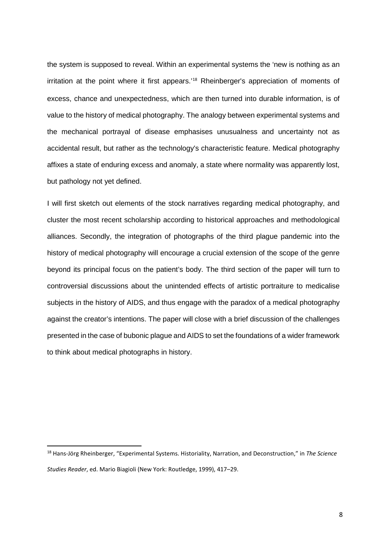the system is supposed to reveal. Within an experimental systems the 'new is nothing as an irritation at the point where it first appears.'<sup>[18](#page-8-0)</sup> Rheinberger's appreciation of moments of excess, chance and unexpectedness, which are then turned into durable information, is of value to the history of medical photography. The analogy between experimental systems and the mechanical portrayal of disease emphasises unusualness and uncertainty not as accidental result, but rather as the technology's characteristic feature. Medical photography affixes a state of enduring excess and anomaly, a state where normality was apparently lost, but pathology not yet defined.

I will first sketch out elements of the stock narratives regarding medical photography, and cluster the most recent scholarship according to historical approaches and methodological alliances. Secondly, the integration of photographs of the third plague pandemic into the history of medical photography will encourage a crucial extension of the scope of the genre beyond its principal focus on the patient's body. The third section of the paper will turn to controversial discussions about the unintended effects of artistic portraiture to medicalise subjects in the history of AIDS, and thus engage with the paradox of a medical photography against the creator's intentions. The paper will close with a brief discussion of the challenges presented in the case of bubonic plague and AIDS to set the foundations of a wider framework to think about medical photographs in history.

<span id="page-8-0"></span> <sup>18</sup> Hans-Jörg Rheinberger, "Experimental Systems. Historiality, Narration, and Deconstruction," in *The Science Studies Reader*, ed. Mario Biagioli (New York: Routledge, 1999), 417–29.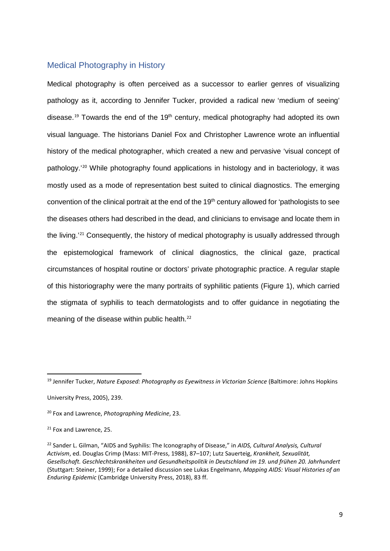#### Medical Photography in History

Medical photography is often perceived as a successor to earlier genres of visualizing pathology as it, according to Jennifer Tucker, provided a radical new 'medium of seeing' disease.<sup>[19](#page-9-0)</sup> Towards the end of the 19<sup>th</sup> century, medical photography had adopted its own visual language. The historians Daniel Fox and Christopher Lawrence wrote an influential history of the medical photographer, which created a new and pervasive 'visual concept of pathology.'[20](#page-9-1) While photography found applications in histology and in bacteriology, it was mostly used as a mode of representation best suited to clinical diagnostics. The emerging convention of the clinical portrait at the end of the 19<sup>th</sup> century allowed for 'pathologists to see the diseases others had described in the dead, and clinicians to envisage and locate them in the living.'[21](#page-9-2) Consequently, the history of medical photography is usually addressed through the epistemological framework of clinical diagnostics, the clinical gaze, practical circumstances of hospital routine or doctors' private photographic practice. A regular staple of this historiography were the many portraits of syphilitic patients (Figure 1), which carried the stigmata of syphilis to teach dermatologists and to offer guidance in negotiating the meaning of the disease within public health.<sup>[22](#page-9-3)</sup>

<span id="page-9-0"></span> <sup>19</sup> Jennifer Tucker, *Nature Exposed: Photography as Eyewitness in Victorian Science* (Baltimore: Johns Hopkins University Press, 2005), 239.

<span id="page-9-1"></span><sup>20</sup> Fox and Lawrence, *Photographing Medicine*, 23.

<span id="page-9-2"></span><sup>&</sup>lt;sup>21</sup> Fox and Lawrence, 25.

<span id="page-9-3"></span><sup>22</sup> Sander L. Gilman, "AIDS and Syphilis: The Iconography of Disease," in *AIDS, Cultural Analysis, Cultural Activism*, ed. Douglas Crimp (Mass: MIT-Press, 1988), 87–107; Lutz Sauerteig, *Krankheit, Sexualität, Gesellschaft. Geschlechtskrankheiten und Gesundheitspolitik in Deutschland im 19. und frühen 20. Jahrhundert* (Stuttgart: Steiner, 1999); For a detailed discussion see Lukas Engelmann, *Mapping AIDS: Visual Histories of an Enduring Epidemic* (Cambridge University Press, 2018), 83 ff.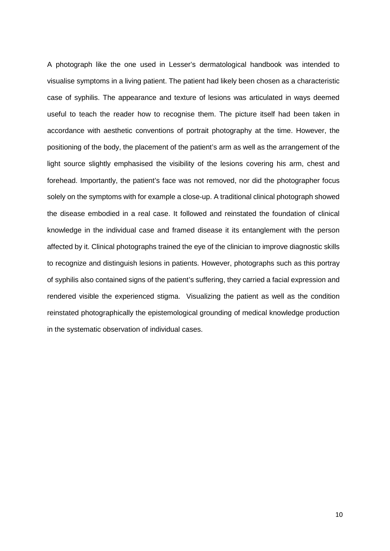A photograph like the one used in Lesser's dermatological handbook was intended to visualise symptoms in a living patient. The patient had likely been chosen as a characteristic case of syphilis. The appearance and texture of lesions was articulated in ways deemed useful to teach the reader how to recognise them. The picture itself had been taken in accordance with aesthetic conventions of portrait photography at the time. However, the positioning of the body, the placement of the patient's arm as well as the arrangement of the light source slightly emphasised the visibility of the lesions covering his arm, chest and forehead. Importantly, the patient's face was not removed, nor did the photographer focus solely on the symptoms with for example a close-up. A traditional clinical photograph showed the disease embodied in a real case. It followed and reinstated the foundation of clinical knowledge in the individual case and framed disease it its entanglement with the person affected by it. Clinical photographs trained the eye of the clinician to improve diagnostic skills to recognize and distinguish lesions in patients. However, photographs such as this portray of syphilis also contained signs of the patient's suffering, they carried a facial expression and rendered visible the experienced stigma. Visualizing the patient as well as the condition reinstated photographically the epistemological grounding of medical knowledge production in the systematic observation of individual cases.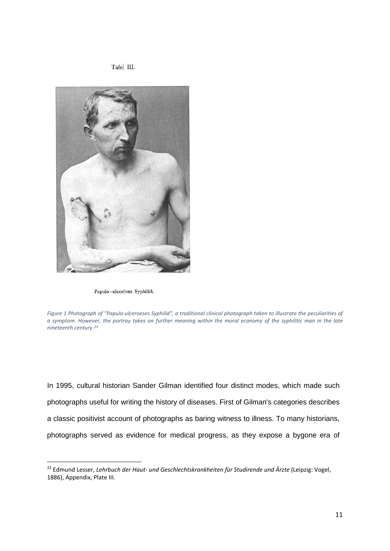Tafel III.



Papulo-ulceröses Syphilid.

*Figure 1 Photograph of "Papulo-ulceroeses Syphilid", a traditional clinical photograph taken to illustrate the peculiarities of a symptom. However, the portray takes on further meaning within the moral economy of the syphilitic man in the late nineteenth century.[23](#page-11-0)*

In 1995, cultural historian Sander Gilman identified four distinct modes, which made such photographs useful for writing the history of diseases. First of Gilman's categories describes a classic positivist account of photographs as baring witness to illness. To many historians, photographs served as evidence for medical progress, as they expose a bygone era of

<span id="page-11-0"></span> <sup>23</sup> Edmund Lesser, *Lehrbuch der Haut- und Geschlechtskrankheiten für Studirende und Ärzte* (Leipzig: Vogel, 1886), Appendix, Plate III.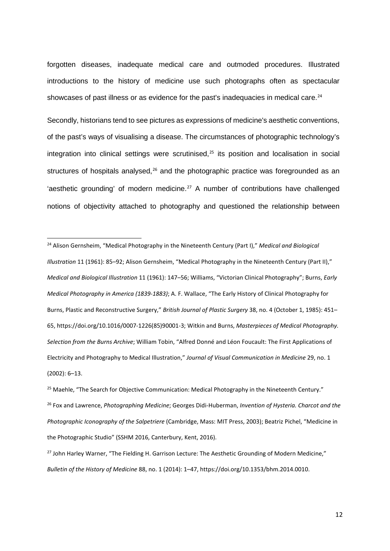forgotten diseases, inadequate medical care and outmoded procedures. Illustrated introductions to the history of medicine use such photographs often as spectacular showcases of past illness or as evidence for the past's inadequacies in medical care.<sup>[24](#page-12-0)</sup>

Secondly, historians tend to see pictures as expressions of medicine's aesthetic conventions, of the past's ways of visualising a disease. The circumstances of photographic technology's integration into clinical settings were scrutinised, $25$  its position and localisation in social structures of hospitals analysed, $26$  and the photographic practice was foregrounded as an 'aesthetic grounding' of modern medicine.<sup>[27](#page-12-3)</sup> A number of contributions have challenged notions of objectivity attached to photography and questioned the relationship between

<span id="page-12-0"></span> 24 Alison Gernsheim, "Medical Photography in the Nineteenth Century (Part I)," *Medical and Biological Illustration* 11 (1961): 85–92; Alison Gernsheim, "Medical Photography in the Nineteenth Century (Part II)," *Medical and Biological Illustration* 11 (1961): 147–56; Williams, "Victorian Clinical Photography"; Burns, *Early Medical Photography in America (1839-1883)*; A. F. Wallace, "The Early History of Clinical Photography for Burns, Plastic and Reconstructive Surgery," *British Journal of Plastic Surgery* 38, no. 4 (October 1, 1985): 451– 65, https://doi.org/10.1016/0007-1226(85)90001-3; Witkin and Burns, *Masterpieces of Medical Photography. Selection from the Burns Archive*; William Tobin, "Alfred Donné and Léon Foucault: The First Applications of Electricity and Photography to Medical Illustration," *Journal of Visual Communication in Medicine* 29, no. 1 (2002): 6–13.

<span id="page-12-2"></span><span id="page-12-1"></span><sup>&</sup>lt;sup>25</sup> Maehle, "The Search for Objective Communication: Medical Photography in the Nineteenth Century." <sup>26</sup> Fox and Lawrence, *Photographing Medicine*; Georges Didi-Huberman, *Invention of Hysteria. Charcot and the Photographic Iconography of the Salpetriere* (Cambridge, Mass: MIT Press, 2003); Beatriz Pichel, "Medicine in the Photographic Studio" (SSHM 2016, Canterbury, Kent, 2016).

<span id="page-12-3"></span><sup>&</sup>lt;sup>27</sup> John Harley Warner, "The Fielding H. Garrison Lecture: The Aesthetic Grounding of Modern Medicine," *Bulletin of the History of Medicine* 88, no. 1 (2014): 1–47, https://doi.org/10.1353/bhm.2014.0010.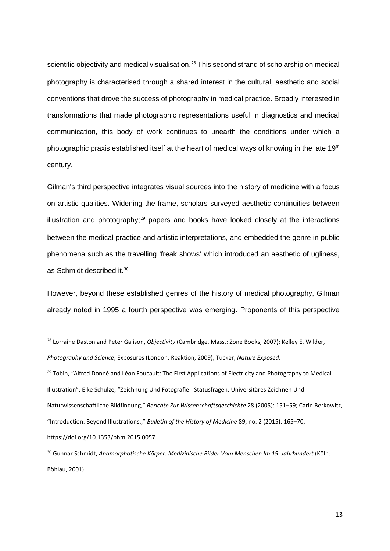scientific objectivity and medical visualisation.<sup>[28](#page-13-0)</sup> This second strand of scholarship on medical photography is characterised through a shared interest in the cultural, aesthetic and social conventions that drove the success of photography in medical practice. Broadly interested in transformations that made photographic representations useful in diagnostics and medical communication, this body of work continues to unearth the conditions under which a photographic praxis established itself at the heart of medical ways of knowing in the late 19<sup>th</sup> century.

Gilman's third perspective integrates visual sources into the history of medicine with a focus on artistic qualities. Widening the frame, scholars surveyed aesthetic continuities between illustration and photography; $29$  papers and books have looked closely at the interactions between the medical practice and artistic interpretations, and embedded the genre in public phenomena such as the travelling 'freak shows' which introduced an aesthetic of ugliness, as Schmidt described it.<sup>[30](#page-13-2)</sup>

However, beyond these established genres of the history of medical photography, Gilman already noted in 1995 a fourth perspective was emerging. Proponents of this perspective

<span id="page-13-0"></span> <sup>28</sup> Lorraine Daston and Peter Galison, *Objectivity* (Cambridge, Mass.: Zone Books, 2007); Kelley E. Wilder,

*Photography and Science*, Exposures (London: Reaktion, 2009); Tucker, *Nature Exposed*.

<span id="page-13-1"></span><sup>&</sup>lt;sup>29</sup> Tobin, "Alfred Donné and Léon Foucault: The First Applications of Electricity and Photography to Medical Illustration"; Elke Schulze, "Zeichnung Und Fotografie - Statusfragen. Universitäres Zeichnen Und Naturwissenschaftliche Bildfindung," *Berichte Zur Wissenschaftsgeschichte* 28 (2005): 151–59; Carin Berkowitz, "Introduction: Beyond Illustrations:," *Bulletin of the History of Medicine* 89, no. 2 (2015): 165–70, https://doi.org/10.1353/bhm.2015.0057.

<span id="page-13-2"></span><sup>30</sup> Gunnar Schmidt, *Anamorphotische Körper. Medizinische Bilder Vom Menschen Im 19. Jahrhundert* (Köln: Böhlau, 2001).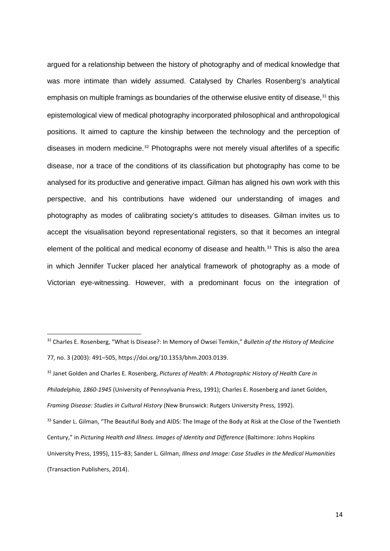argued for a relationship between the history of photography and of medical knowledge that was more intimate than widely assumed. Catalysed by Charles Rosenberg's analytical emphasis on multiple framings as boundaries of the otherwise elusive entity of disease,<sup>[31](#page-14-0)</sup> this epistemological view of medical photography incorporated philosophical and anthropological positions. It aimed to capture the kinship between the technology and the perception of diseases in modern medicine.<sup>[32](#page-14-1)</sup> Photographs were not merely visual afterlifes of a specific disease, nor a trace of the conditions of its classification but photography has come to be analysed for its productive and generative impact. Gilman has aligned his own work with this perspective, and his contributions have widened our understanding of images and photography as modes of calibrating society's attitudes to diseases. Gilman invites us to accept the visualisation beyond representational registers, so that it becomes an integral element of the political and medical economy of disease and health.<sup>[33](#page-14-2)</sup> This is also the area in which Jennifer Tucker placed her analytical framework of photography as a mode of Victorian eye-witnessing. However, with a predominant focus on the integration of

<span id="page-14-0"></span> <sup>31</sup> Charles E. Rosenberg, "What Is Disease?: In Memory of Owsei Temkin," *Bulletin of the History of Medicine* 77, no. 3 (2003): 491–505, https://doi.org/10.1353/bhm.2003.0139.

<span id="page-14-1"></span><sup>32</sup> Janet Golden and Charles E. Rosenberg, *Pictures of Health: A Photographic History of Health Care in Philadelphia, 1860-1945* (University of Pennsylvania Press, 1991); Charles E. Rosenberg and Janet Golden, *Framing Disease: Studies in Cultural History* (New Brunswick: Rutgers University Press, 1992).

<span id="page-14-2"></span><sup>&</sup>lt;sup>33</sup> Sander L. Gilman, "The Beautiful Body and AIDS: The Image of the Body at Risk at the Close of the Twentieth Century," in *Picturing Health and Illness. Images of Identity and Difference* (Baltimore: Johns Hopkins University Press, 1995), 115–83; Sander L. Gilman, *Illness and Image: Case Studies in the Medical Humanities* (Transaction Publishers, 2014).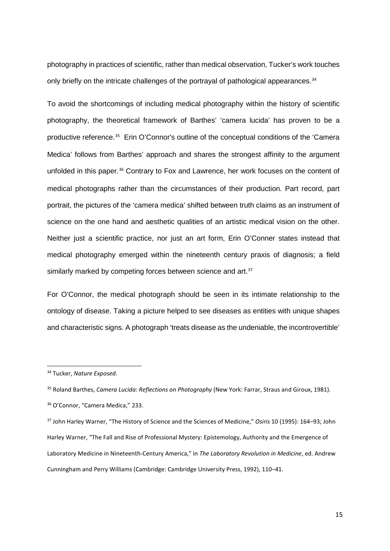photography in practices of scientific, rather than medical observation, Tucker's work touches only briefly on the intricate challenges of the portrayal of pathological appearances.<sup>[34](#page-15-0)</sup>

To avoid the shortcomings of including medical photography within the history of scientific photography, the theoretical framework of Barthes' 'camera lucida' has proven to be a productive reference.<sup>[35](#page-15-1)</sup> Erin O'Connor's outline of the conceptual conditions of the 'Camera Medica' follows from Barthes' approach and shares the strongest affinity to the argument unfolded in this paper.<sup>[36](#page-15-2)</sup> Contrary to Fox and Lawrence, her work focuses on the content of medical photographs rather than the circumstances of their production. Part record, part portrait, the pictures of the 'camera medica' shifted between truth claims as an instrument of science on the one hand and aesthetic qualities of an artistic medical vision on the other. Neither just a scientific practice, nor just an art form, Erin O'Conner states instead that medical photography emerged within the nineteenth century praxis of diagnosis; a field similarly marked by competing forces between science and art.<sup>[37](#page-15-3)</sup>

For O'Connor, the medical photograph should be seen in its intimate relationship to the ontology of disease. Taking a picture helped to see diseases as entities with unique shapes and characteristic signs. A photograph 'treats disease as the undeniable, the incontrovertible'

<span id="page-15-0"></span> <sup>34</sup> Tucker, *Nature Exposed*.

<span id="page-15-1"></span><sup>35</sup> Roland Barthes, *Camera Lucida: Reflections on Photography* (New York: Farrar, Straus and Giroux, 1981). <sup>36</sup> O'Connor, "Camera Medica," 233.

<span id="page-15-3"></span><span id="page-15-2"></span><sup>37</sup> John Harley Warner, "The History of Science and the Sciences of Medicine," *Osiris* 10 (1995): 164–93; John Harley Warner, "The Fall and Rise of Professional Mystery: Epistemology, Authority and the Emergence of Laboratory Medicine in Nineteenth-Century America," in *The Laboratory Revolution in Medicine*, ed. Andrew Cunningham and Perry Williams (Cambridge: Cambridge University Press, 1992), 110–41.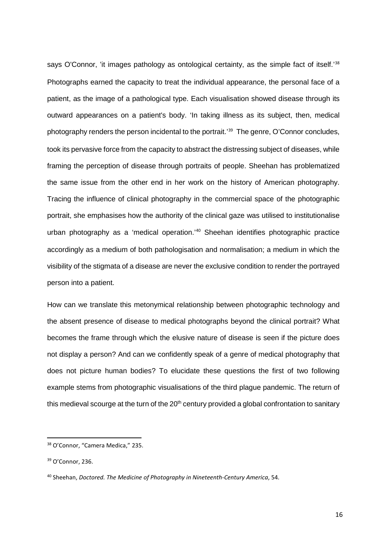says O'Connor, 'it images pathology as ontological certainty, as the simple fact of itself.<sup>1[38](#page-16-0)</sup> Photographs earned the capacity to treat the individual appearance, the personal face of a patient, as the image of a pathological type. Each visualisation showed disease through its outward appearances on a patient's body. 'In taking illness as its subject, then, medical photography renders the person incidental to the portrait.'[39](#page-16-1) The genre, O'Connor concludes, took its pervasive force from the capacity to abstract the distressing subject of diseases, while framing the perception of disease through portraits of people. Sheehan has problematized the same issue from the other end in her work on the history of American photography. Tracing the influence of clinical photography in the commercial space of the photographic portrait, she emphasises how the authority of the clinical gaze was utilised to institutionalise urban photography as a 'medical operation.<sup>'[40](#page-16-2)</sup> Sheehan identifies photographic practice accordingly as a medium of both pathologisation and normalisation; a medium in which the visibility of the stigmata of a disease are never the exclusive condition to render the portrayed person into a patient.

How can we translate this metonymical relationship between photographic technology and the absent presence of disease to medical photographs beyond the clinical portrait? What becomes the frame through which the elusive nature of disease is seen if the picture does not display a person? And can we confidently speak of a genre of medical photography that does not picture human bodies? To elucidate these questions the first of two following example stems from photographic visualisations of the third plague pandemic. The return of this medieval scourge at the turn of the  $20<sup>th</sup>$  century provided a global confrontation to sanitary

<span id="page-16-0"></span> <sup>38</sup> O'Connor, "Camera Medica," 235.

<span id="page-16-1"></span><sup>39</sup> O'Connor, 236.

<span id="page-16-2"></span><sup>40</sup> Sheehan, *Doctored. The Medicine of Photography in Nineteenth-Century America*, 54.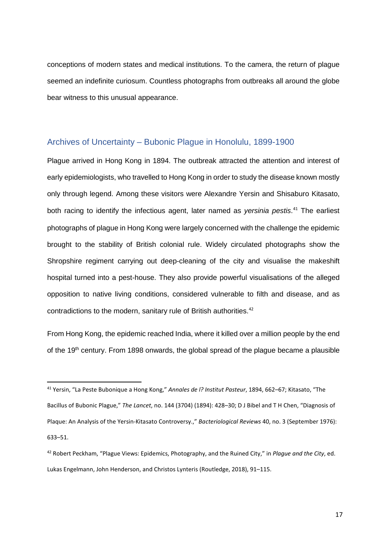conceptions of modern states and medical institutions. To the camera, the return of plague seemed an indefinite curiosum. Countless photographs from outbreaks all around the globe bear witness to this unusual appearance.

#### Archives of Uncertainty – Bubonic Plague in Honolulu, 1899-1900

Plague arrived in Hong Kong in 1894. The outbreak attracted the attention and interest of early epidemiologists, who travelled to Hong Kong in order to study the disease known mostly only through legend. Among these visitors were Alexandre Yersin and Shisaburo Kitasato, both racing to identify the infectious agent, later named as *yersinia pestis*. [41](#page-17-0) The earliest photographs of plague in Hong Kong were largely concerned with the challenge the epidemic brought to the stability of British colonial rule. Widely circulated photographs show the Shropshire regiment carrying out deep-cleaning of the city and visualise the makeshift hospital turned into a pest-house. They also provide powerful visualisations of the alleged opposition to native living conditions, considered vulnerable to filth and disease, and as contradictions to the modern, sanitary rule of British authorities.<sup>[42](#page-17-1)</sup>

From Hong Kong, the epidemic reached India, where it killed over a million people by the end of the 19<sup>th</sup> century. From 1898 onwards, the global spread of the plague became a plausible

<span id="page-17-0"></span> <sup>41</sup> Yersin, "La Peste Bubonique a Hong Kong," *Annales de l? Institut Pasteur*, 1894, 662–67; Kitasato, "The Bacillus of Bubonic Plague," *The Lancet*, no. 144 (3704) (1894): 428–30; D J Bibel and T H Chen, "Diagnosis of Plaque: An Analysis of the Yersin-Kitasato Controversy.," *Bacteriological Reviews* 40, no. 3 (September 1976): 633–51.

<span id="page-17-1"></span><sup>42</sup> Robert Peckham, "Plague Views: Epidemics, Photography, and the Ruined City," in *Plague and the City*, ed. Lukas Engelmann, John Henderson, and Christos Lynteris (Routledge, 2018), 91–115.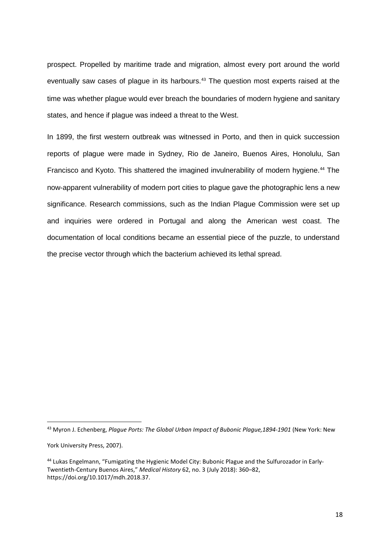prospect. Propelled by maritime trade and migration, almost every port around the world eventually saw cases of plague in its harbours.<sup>[43](#page-18-0)</sup> The question most experts raised at the time was whether plague would ever breach the boundaries of modern hygiene and sanitary states, and hence if plague was indeed a threat to the West.

In 1899, the first western outbreak was witnessed in Porto, and then in quick succession reports of plague were made in Sydney, Rio de Janeiro, Buenos Aires, Honolulu, San Francisco and Kyoto. This shattered the imagined invulnerability of modern hygiene.<sup>[44](#page-18-1)</sup> The now-apparent vulnerability of modern port cities to plague gave the photographic lens a new significance. Research commissions, such as the Indian Plague Commission were set up and inquiries were ordered in Portugal and along the American west coast. The documentation of local conditions became an essential piece of the puzzle, to understand the precise vector through which the bacterium achieved its lethal spread.

<span id="page-18-0"></span> <sup>43</sup> Myron J. Echenberg, *Plague Ports: The Global Urban Impact of Bubonic Plague,1894-1901* (New York: New

York University Press, 2007).

<span id="page-18-1"></span><sup>44</sup> Lukas Engelmann, "Fumigating the Hygienic Model City: Bubonic Plague and the Sulfurozador in Early-Twentieth-Century Buenos Aires," *Medical History* 62, no. 3 (July 2018): 360–82, https://doi.org/10.1017/mdh.2018.37.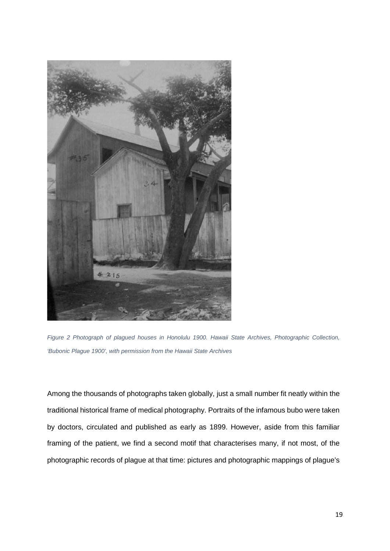

*Figure 2 Photograph of plagued houses in Honolulu 1900. Hawaii State Archives, Photographic Collection, 'Bubonic Plague 1900', with permission from the Hawaii State Archives*

Among the thousands of photographs taken globally, just a small number fit neatly within the traditional historical frame of medical photography. Portraits of the infamous bubo were taken by doctors, circulated and published as early as 1899. However, aside from this familiar framing of the patient, we find a second motif that characterises many, if not most, of the photographic records of plague at that time: pictures and photographic mappings of plague's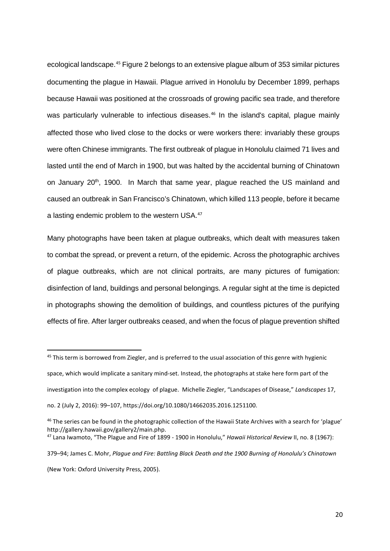ecological landscape.[45](#page-20-0) Figure 2 belongs to an extensive plague album of 353 similar pictures documenting the plague in Hawaii. Plague arrived in Honolulu by December 1899, perhaps because Hawaii was positioned at the crossroads of growing pacific sea trade, and therefore was particularly vulnerable to infectious diseases.<sup>[46](#page-20-1)</sup> In the island's capital, plague mainly affected those who lived close to the docks or were workers there: invariably these groups were often Chinese immigrants. The first outbreak of plague in Honolulu claimed 71 lives and lasted until the end of March in 1900, but was halted by the accidental burning of Chinatown on January 20<sup>th</sup>, 1900. In March that same year, plague reached the US mainland and caused an outbreak in San Francisco's Chinatown, which killed 113 people, before it became a lasting endemic problem to the western USA.<sup>[47](#page-20-2)</sup>

Many photographs have been taken at plague outbreaks, which dealt with measures taken to combat the spread, or prevent a return, of the epidemic. Across the photographic archives of plague outbreaks, which are not clinical portraits, are many pictures of fumigation: disinfection of land, buildings and personal belongings. A regular sight at the time is depicted in photographs showing the demolition of buildings, and countless pictures of the purifying effects of fire. After larger outbreaks ceased, and when the focus of plague prevention shifted

<span id="page-20-0"></span><sup>45</sup> This term is borrowed from Ziegler, and is preferred to the usual association of this genre with hygienic

space, which would implicate a sanitary mind-set. Instead, the photographs at stake here form part of the investigation into the complex ecology of plague. Michelle Ziegler, "Landscapes of Disease," *Landscapes* 17, no. 2 (July 2, 2016): 99–107, https://doi.org/10.1080/14662035.2016.1251100.

<span id="page-20-1"></span><sup>&</sup>lt;sup>46</sup> The series can be found in the photographic collection of the Hawaii State Archives with a search for 'plague' http://gallery.hawaii.gov/gallery2/main.php.<br><sup>47</sup> Lana Iwamoto, "The Plague and Fire of 1899 - 1900 in Honolulu," *Hawaii Historical Review* II, no. 8 (1967):

<span id="page-20-2"></span>

<sup>379–94;</sup> James C. Mohr, *Plague and Fire: Battling Black Death and the 1900 Burning of Honolulu's Chinatown* (New York: Oxford University Press, 2005).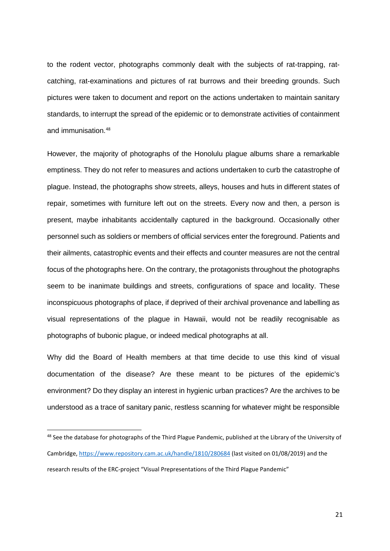to the rodent vector, photographs commonly dealt with the subjects of rat-trapping, ratcatching, rat-examinations and pictures of rat burrows and their breeding grounds. Such pictures were taken to document and report on the actions undertaken to maintain sanitary standards, to interrupt the spread of the epidemic or to demonstrate activities of containment and immunisation.[48](#page-21-0)

However, the majority of photographs of the Honolulu plague albums share a remarkable emptiness. They do not refer to measures and actions undertaken to curb the catastrophe of plague. Instead, the photographs show streets, alleys, houses and huts in different states of repair, sometimes with furniture left out on the streets. Every now and then, a person is present, maybe inhabitants accidentally captured in the background. Occasionally other personnel such as soldiers or members of official services enter the foreground. Patients and their ailments, catastrophic events and their effects and counter measures are not the central focus of the photographs here. On the contrary, the protagonists throughout the photographs seem to be inanimate buildings and streets, configurations of space and locality. These inconspicuous photographs of place, if deprived of their archival provenance and labelling as visual representations of the plague in Hawaii, would not be readily recognisable as photographs of bubonic plague, or indeed medical photographs at all.

Why did the Board of Health members at that time decide to use this kind of visual documentation of the disease? Are these meant to be pictures of the epidemic's environment? Do they display an interest in hygienic urban practices? Are the archives to be understood as a trace of sanitary panic, restless scanning for whatever might be responsible

<span id="page-21-0"></span><sup>48</sup> See the database for photographs of the Third Plague Pandemic, published at the Library of the University of Cambridge,<https://www.repository.cam.ac.uk/handle/1810/280684> (last visited on 01/08/2019) and the research results of the ERC-project "Visual Prepresentations of the Third Plague Pandemic"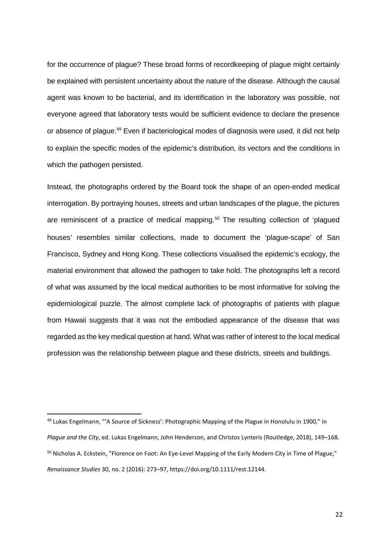for the occurrence of plague? These broad forms of recordkeeping of plague might certainly be explained with persistent uncertainty about the nature of the disease. Although the causal agent was known to be bacterial, and its identification in the laboratory was possible, not everyone agreed that laboratory tests would be sufficient evidence to declare the presence or absence of plague.<sup>[49](#page-22-0)</sup> Even if bacteriological modes of diagnosis were used, it did not help to explain the specific modes of the epidemic's distribution, its vectors and the conditions in which the pathogen persisted.

Instead, the photographs ordered by the Board took the shape of an open-ended medical interrogation. By portraying houses, streets and urban landscapes of the plague, the pictures are reminiscent of a practice of medical mapping.<sup>[50](#page-22-1)</sup> The resulting collection of 'plagued houses' resembles similar collections, made to document the 'plague-scape' of San Francisco, Sydney and Hong Kong. These collections visualised the epidemic's ecology, the material environment that allowed the pathogen to take hold. The photographs left a record of what was assumed by the local medical authorities to be most informative for solving the epidemiological puzzle. The almost complete lack of photographs of patients with plague from Hawaii suggests that it was not the embodied appearance of the disease that was regarded as the key medical question at hand. What was rather of interest to the local medical profession was the relationship between plague and these districts, streets and buildings.

<span id="page-22-1"></span><span id="page-22-0"></span> <sup>49</sup> Lukas Engelmann, "'A Source of Sickness': Photographic Mapping of the Plague in Honolulu in 1900," in *Plague and the City*, ed. Lukas Engelmann, John Henderson, and Christos Lynteris (Routledge, 2018), 149–168. <sup>50</sup> Nicholas A. Eckstein, "Florence on Foot: An Eye-Level Mapping of the Early Modern City in Time of Plague," *Renaissance Studies* 30, no. 2 (2016): 273–97, https://doi.org/10.1111/rest.12144.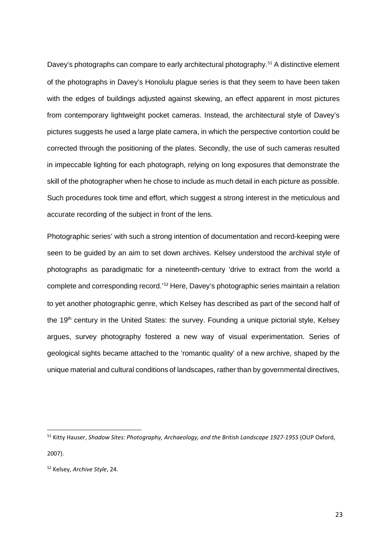Davey's photographs can compare to early architectural photography.<sup>[51](#page-23-0)</sup> A distinctive element of the photographs in Davey's Honolulu plague series is that they seem to have been taken with the edges of buildings adjusted against skewing, an effect apparent in most pictures from contemporary lightweight pocket cameras. Instead, the architectural style of Davey's pictures suggests he used a large plate camera, in which the perspective contortion could be corrected through the positioning of the plates. Secondly, the use of such cameras resulted in impeccable lighting for each photograph, relying on long exposures that demonstrate the skill of the photographer when he chose to include as much detail in each picture as possible. Such procedures took time and effort, which suggest a strong interest in the meticulous and accurate recording of the subject in front of the lens.

Photographic series' with such a strong intention of documentation and record-keeping were seen to be guided by an aim to set down archives. Kelsey understood the archival style of photographs as paradigmatic for a nineteenth-century 'drive to extract from the world a complete and corresponding record.'[52](#page-23-1) Here, Davey's photographic series maintain a relation to yet another photographic genre, which Kelsey has described as part of the second half of the 19<sup>th</sup> century in the United States: the survey. Founding a unique pictorial style, Kelsey argues, survey photography fostered a new way of visual experimentation. Series of geological sights became attached to the 'romantic quality' of a new archive, shaped by the unique material and cultural conditions of landscapes, rather than by governmental directives,

<span id="page-23-0"></span> <sup>51</sup> Kitty Hauser, *Shadow Sites: Photography, Archaeology, and the British Landscape 1927-1955* (OUP Oxford, 2007).

<span id="page-23-1"></span><sup>52</sup> Kelsey, *Archive Style*, 24.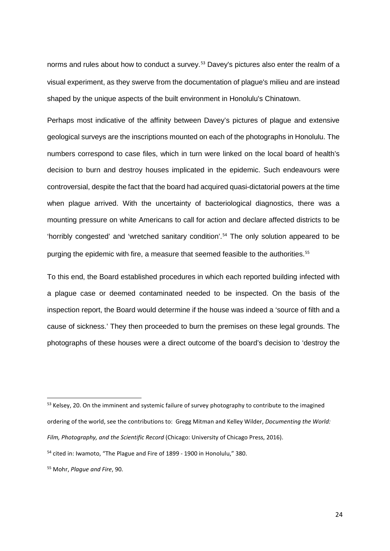norms and rules about how to conduct a survey.<sup>[53](#page-24-0)</sup> Davey's pictures also enter the realm of a visual experiment, as they swerve from the documentation of plague's milieu and are instead shaped by the unique aspects of the built environment in Honolulu's Chinatown.

Perhaps most indicative of the affinity between Davey's pictures of plague and extensive geological surveys are the inscriptions mounted on each of the photographs in Honolulu. The numbers correspond to case files, which in turn were linked on the local board of health's decision to burn and destroy houses implicated in the epidemic. Such endeavours were controversial, despite the fact that the board had acquired quasi-dictatorial powers at the time when plague arrived. With the uncertainty of bacteriological diagnostics, there was a mounting pressure on white Americans to call for action and declare affected districts to be 'horribly congested' and 'wretched sanitary condition'.[54](#page-24-1) The only solution appeared to be purging the epidemic with fire, a measure that seemed feasible to the authorities.<sup>[55](#page-24-2)</sup>

To this end, the Board established procedures in which each reported building infected with a plague case or deemed contaminated needed to be inspected. On the basis of the inspection report, the Board would determine if the house was indeed a 'source of filth and a cause of sickness.' They then proceeded to burn the premises on these legal grounds. The photographs of these houses were a direct outcome of the board's decision to 'destroy the

<span id="page-24-0"></span><sup>&</sup>lt;sup>53</sup> Kelsey, 20. On the imminent and systemic failure of survey photography to contribute to the imagined ordering of the world, see the contributions to: Gregg Mitman and Kelley Wilder, *Documenting the World: Film, Photography, and the Scientific Record* (Chicago: University of Chicago Press, 2016).

<span id="page-24-1"></span><sup>54</sup> cited in: Iwamoto, "The Plague and Fire of 1899 - 1900 in Honolulu," 380.

<span id="page-24-2"></span><sup>55</sup> Mohr, *Plague and Fire*, 90.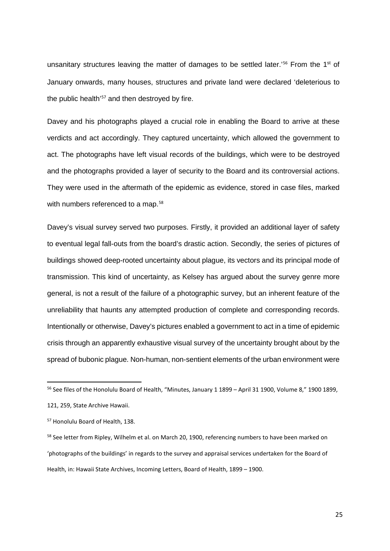unsanitary structures leaving the matter of damages to be settled later.'<sup>[56](#page-25-0)</sup> From the 1<sup>st</sup> of January onwards, many houses, structures and private land were declared 'deleterious to the public health<sup>'[57](#page-25-1)</sup> and then destroyed by fire.

Davey and his photographs played a crucial role in enabling the Board to arrive at these verdicts and act accordingly. They captured uncertainty, which allowed the government to act. The photographs have left visual records of the buildings, which were to be destroyed and the photographs provided a layer of security to the Board and its controversial actions. They were used in the aftermath of the epidemic as evidence, stored in case files, marked with numbers referenced to a map.<sup>[58](#page-25-2)</sup>

Davey's visual survey served two purposes. Firstly, it provided an additional layer of safety to eventual legal fall-outs from the board's drastic action. Secondly, the series of pictures of buildings showed deep-rooted uncertainty about plague, its vectors and its principal mode of transmission. This kind of uncertainty, as Kelsey has argued about the survey genre more general, is not a result of the failure of a photographic survey, but an inherent feature of the unreliability that haunts any attempted production of complete and corresponding records. Intentionally or otherwise, Davey's pictures enabled a government to act in a time of epidemic crisis through an apparently exhaustive visual survey of the uncertainty brought about by the spread of bubonic plague. Non-human, non-sentient elements of the urban environment were

<span id="page-25-0"></span><sup>&</sup>lt;sup>56</sup> See files of the Honolulu Board of Health, "Minutes, January 1 1899 - April 31 1900, Volume 8," 1900 1899, 121, 259, State Archive Hawaii.

<span id="page-25-1"></span><sup>57</sup> Honolulu Board of Health, 138.

<span id="page-25-2"></span><sup>&</sup>lt;sup>58</sup> See letter from Ripley, Wilhelm et al. on March 20, 1900, referencing numbers to have been marked on 'photographs of the buildings' in regards to the survey and appraisal services undertaken for the Board of Health, in: Hawaii State Archives, Incoming Letters, Board of Health, 1899 – 1900.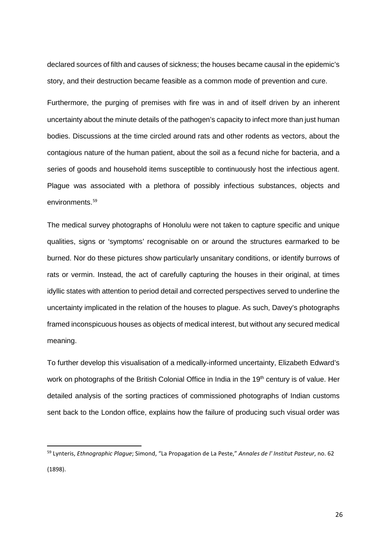declared sources of filth and causes of sickness; the houses became causal in the epidemic's story, and their destruction became feasible as a common mode of prevention and cure.

Furthermore, the purging of premises with fire was in and of itself driven by an inherent uncertainty about the minute details of the pathogen's capacity to infect more than just human bodies. Discussions at the time circled around rats and other rodents as vectors, about the contagious nature of the human patient, about the soil as a fecund niche for bacteria, and a series of goods and household items susceptible to continuously host the infectious agent. Plague was associated with a plethora of possibly infectious substances, objects and environments.<sup>[59](#page-26-0)</sup>

The medical survey photographs of Honolulu were not taken to capture specific and unique qualities, signs or 'symptoms' recognisable on or around the structures earmarked to be burned. Nor do these pictures show particularly unsanitary conditions, or identify burrows of rats or vermin. Instead, the act of carefully capturing the houses in their original, at times idyllic states with attention to period detail and corrected perspectives served to underline the uncertainty implicated in the relation of the houses to plague. As such, Davey's photographs framed inconspicuous houses as objects of medical interest, but without any secured medical meaning.

To further develop this visualisation of a medically-informed uncertainty, Elizabeth Edward's work on photographs of the British Colonial Office in India in the 19<sup>th</sup> century is of value. Her detailed analysis of the sorting practices of commissioned photographs of Indian customs sent back to the London office, explains how the failure of producing such visual order was

<span id="page-26-0"></span> <sup>59</sup> Lynteris, *Ethnographic Plague*; Simond, "La Propagation de La Peste," *Annales de l' Institut Pasteur*, no. 62 (1898).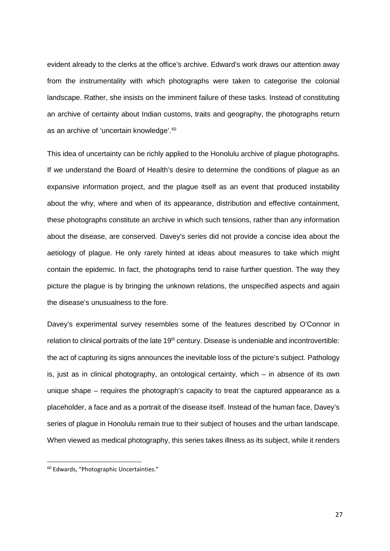evident already to the clerks at the office's archive. Edward's work draws our attention away from the instrumentality with which photographs were taken to categorise the colonial landscape. Rather, she insists on the imminent failure of these tasks. Instead of constituting an archive of certainty about Indian customs, traits and geography, the photographs return as an archive of 'uncertain knowledge'. [60](#page-27-0)

This idea of uncertainty can be richly applied to the Honolulu archive of plague photographs. If we understand the Board of Health's desire to determine the conditions of plague as an expansive information project, and the plague itself as an event that produced instability about the why, where and when of its appearance, distribution and effective containment, these photographs constitute an archive in which such tensions, rather than any information about the disease, are conserved. Davey's series did not provide a concise idea about the aetiology of plague. He only rarely hinted at ideas about measures to take which might contain the epidemic. In fact, the photographs tend to raise further question. The way they picture the plague is by bringing the unknown relations, the unspecified aspects and again the disease's unusualness to the fore.

Davey's experimental survey resembles some of the features described by O'Connor in relation to clinical portraits of the late 19<sup>th</sup> century. Disease is undeniable and incontrovertible: the act of capturing its signs announces the inevitable loss of the picture's subject. Pathology is, just as in clinical photography, an ontological certainty, which – in absence of its own unique shape – requires the photograph's capacity to treat the captured appearance as a placeholder, a face and as a portrait of the disease itself. Instead of the human face, Davey's series of plague in Honolulu remain true to their subject of houses and the urban landscape. When viewed as medical photography, this series takes illness as its subject, while it renders

<span id="page-27-0"></span> <sup>60</sup> Edwards, "Photographic Uncertainties."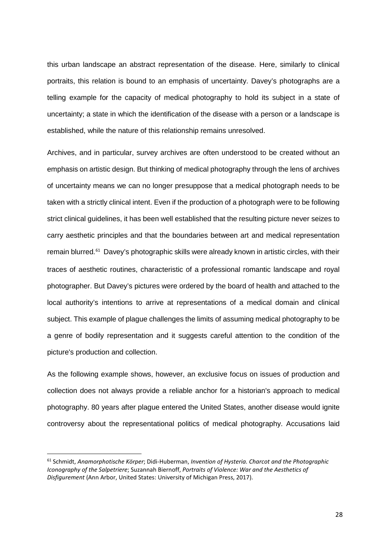this urban landscape an abstract representation of the disease. Here, similarly to clinical portraits, this relation is bound to an emphasis of uncertainty. Davey's photographs are a telling example for the capacity of medical photography to hold its subject in a state of uncertainty; a state in which the identification of the disease with a person or a landscape is established, while the nature of this relationship remains unresolved.

Archives, and in particular, survey archives are often understood to be created without an emphasis on artistic design. But thinking of medical photography through the lens of archives of uncertainty means we can no longer presuppose that a medical photograph needs to be taken with a strictly clinical intent. Even if the production of a photograph were to be following strict clinical guidelines, it has been well established that the resulting picture never seizes to carry aesthetic principles and that the boundaries between art and medical representation remain blurred.<sup>[61](#page-28-0)</sup> Davey's photographic skills were already known in artistic circles, with their traces of aesthetic routines, characteristic of a professional romantic landscape and royal photographer. But Davey's pictures were ordered by the board of health and attached to the local authority's intentions to arrive at representations of a medical domain and clinical subject. This example of plague challenges the limits of assuming medical photography to be a genre of bodily representation and it suggests careful attention to the condition of the picture's production and collection.

As the following example shows, however, an exclusive focus on issues of production and collection does not always provide a reliable anchor for a historian's approach to medical photography. 80 years after plague entered the United States, another disease would ignite controversy about the representational politics of medical photography. Accusations laid

<span id="page-28-0"></span> <sup>61</sup> Schmidt, *Anamorphotische Körper*; Didi-Huberman, *Invention of Hysteria. Charcot and the Photographic Iconography of the Salpetriere*; Suzannah Biernoff, *Portraits of Violence: War and the Aesthetics of Disfigurement* (Ann Arbor, United States: University of Michigan Press, 2017).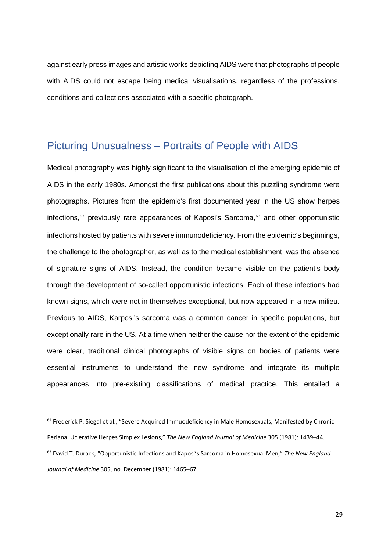against early press images and artistic works depicting AIDS were that photographs of people with AIDS could not escape being medical visualisations, regardless of the professions, conditions and collections associated with a specific photograph.

### Picturing Unusualness – Portraits of People with AIDS

Medical photography was highly significant to the visualisation of the emerging epidemic of AIDS in the early 1980s. Amongst the first publications about this puzzling syndrome were photographs. Pictures from the epidemic's first documented year in the US show herpes infections, $62$  previously rare appearances of Kaposi's Sarcoma, $63$  and other opportunistic infections hosted by patients with severe immunodeficiency. From the epidemic's beginnings, the challenge to the photographer, as well as to the medical establishment, was the absence of signature signs of AIDS. Instead, the condition became visible on the patient's body through the development of so-called opportunistic infections. Each of these infections had known signs, which were not in themselves exceptional, but now appeared in a new milieu. Previous to AIDS, Karposi's sarcoma was a common cancer in specific populations, but exceptionally rare in the US. At a time when neither the cause nor the extent of the epidemic were clear, traditional clinical photographs of visible signs on bodies of patients were essential instruments to understand the new syndrome and integrate its multiple appearances into pre-existing classifications of medical practice. This entailed a

<span id="page-29-1"></span><span id="page-29-0"></span><sup>&</sup>lt;sup>62</sup> Frederick P. Siegal et al., "Severe Acquired Immuodeficiency in Male Homosexuals, Manifested by Chronic Perianal Uclerative Herpes Simplex Lesions," *The New England Journal of Medicine* 305 (1981): 1439–44. <sup>63</sup> David T. Durack, "Opportunistic Infections and Kaposi's Sarcoma in Homosexual Men," *The New England Journal of Medicine* 305, no. December (1981): 1465–67.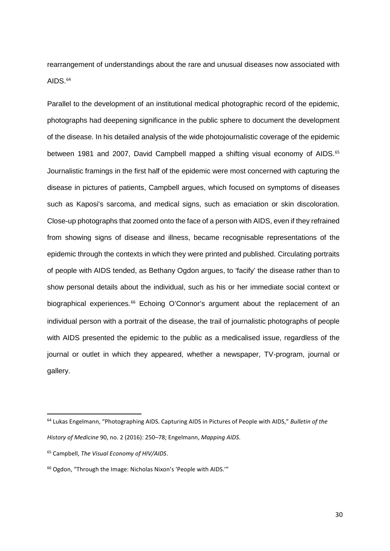rearrangement of understandings about the rare and unusual diseases now associated with AIDS. $64$ 

Parallel to the development of an institutional medical photographic record of the epidemic, photographs had deepening significance in the public sphere to document the development of the disease. In his detailed analysis of the wide photojournalistic coverage of the epidemic between 1981 and 2007, David Campbell mapped a shifting visual economy of AIDS.<sup>[65](#page-30-1)</sup> Journalistic framings in the first half of the epidemic were most concerned with capturing the disease in pictures of patients, Campbell argues, which focused on symptoms of diseases such as Kaposi's sarcoma, and medical signs, such as emaciation or skin discoloration. Close-up photographs that zoomed onto the face of a person with AIDS, even if they refrained from showing signs of disease and illness, became recognisable representations of the epidemic through the contexts in which they were printed and published. Circulating portraits of people with AIDS tended, as Bethany Ogdon argues, to 'facify' the disease rather than to show personal details about the individual, such as his or her immediate social context or biographical experiences.<sup>[66](#page-30-2)</sup> Echoing O'Connor's argument about the replacement of an individual person with a portrait of the disease, the trail of journalistic photographs of people with AIDS presented the epidemic to the public as a medicalised issue, regardless of the journal or outlet in which they appeared, whether a newspaper, TV-program, journal or gallery.

<span id="page-30-0"></span> <sup>64</sup> Lukas Engelmann, "Photographing AIDS. Capturing AIDS in Pictures of People with AIDS," *Bulletin of the History of Medicine* 90, no. 2 (2016): 250–78; Engelmann, *Mapping AIDS*.

<span id="page-30-1"></span><sup>65</sup> Campbell, *The Visual Economy of HIV/AIDS*.

<span id="page-30-2"></span><sup>66</sup> Ogdon, "Through the Image: Nicholas Nixon's 'People with AIDS.'"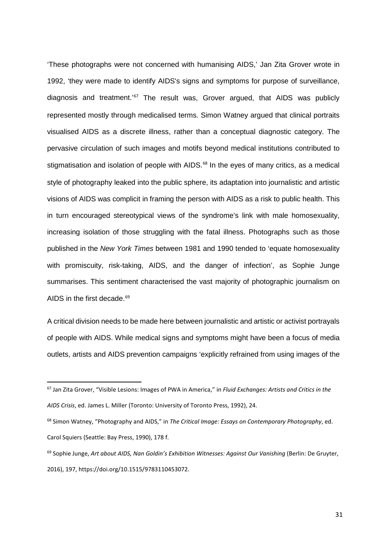'These photographs were not concerned with humanising AIDS,' Jan Zita Grover wrote in 1992, 'they were made to identify AIDS's signs and symptoms for purpose of surveillance, diagnosis and treatment.<sup>'[67](#page-31-0)</sup> The result was, Grover argued, that AIDS was publicly represented mostly through medicalised terms. Simon Watney argued that clinical portraits visualised AIDS as a discrete illness, rather than a conceptual diagnostic category. The pervasive circulation of such images and motifs beyond medical institutions contributed to stigmatisation and isolation of people with AIDS.<sup>[68](#page-31-1)</sup> In the eyes of many critics, as a medical style of photography leaked into the public sphere, its adaptation into journalistic and artistic visions of AIDS was complicit in framing the person with AIDS as a risk to public health. This in turn encouraged stereotypical views of the syndrome's link with male homosexuality, increasing isolation of those struggling with the fatal illness. Photographs such as those published in the *New York Times* between 1981 and 1990 tended to 'equate homosexuality with promiscuity, risk-taking, AIDS, and the danger of infection', as Sophie Junge summarises. This sentiment characterised the vast majority of photographic journalism on AIDS in the first decade.<sup>[69](#page-31-2)</sup>

A critical division needs to be made here between journalistic and artistic or activist portrayals of people with AIDS. While medical signs and symptoms might have been a focus of media outlets, artists and AIDS prevention campaigns 'explicitly refrained from using images of the

<span id="page-31-0"></span> <sup>67</sup> Jan Zita Grover, "Visible Lesions: Images of PWA in America," in *Fluid Exchanges: Artists and Critics in the AIDS Crisis*, ed. James L. Miller (Toronto: University of Toronto Press, 1992), 24.

<span id="page-31-1"></span><sup>68</sup> Simon Watney, "Photography and AIDS," in *The Critical Image: Essays on Contemporary Photography*, ed. Carol Squiers (Seattle: Bay Press, 1990), 178 f.

<span id="page-31-2"></span><sup>69</sup> Sophie Junge, *Art about AIDS, Nan Goldin's Exhibition Witnesses: Against Our Vanishing* (Berlin: De Gruyter, 2016), 197, https://doi.org/10.1515/9783110453072.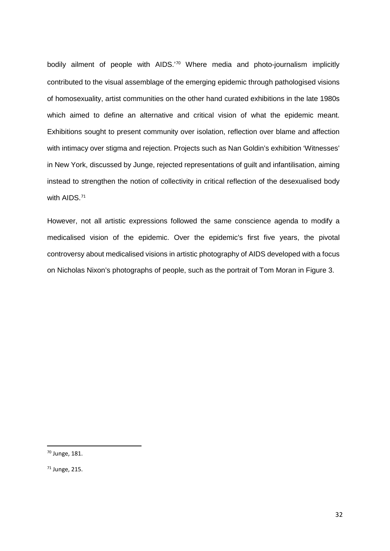bodily ailment of people with AIDS.'[70](#page-32-0) Where media and photo-journalism implicitly contributed to the visual assemblage of the emerging epidemic through pathologised visions of homosexuality, artist communities on the other hand curated exhibitions in the late 1980s which aimed to define an alternative and critical vision of what the epidemic meant. Exhibitions sought to present community over isolation, reflection over blame and affection with intimacy over stigma and rejection. Projects such as Nan Goldin's exhibition 'Witnesses' in New York, discussed by Junge, rejected representations of guilt and infantilisation, aiming instead to strengthen the notion of collectivity in critical reflection of the desexualised body with AIDS.<sup>[71](#page-32-1)</sup>

However, not all artistic expressions followed the same conscience agenda to modify a medicalised vision of the epidemic. Over the epidemic's first five years, the pivotal controversy about medicalised visions in artistic photography of AIDS developed with a focus on Nicholas Nixon's photographs of people, such as the portrait of Tom Moran in Figure 3.

<span id="page-32-0"></span> <sup>70</sup> Junge, 181.

<span id="page-32-1"></span><sup>71</sup> Junge, 215.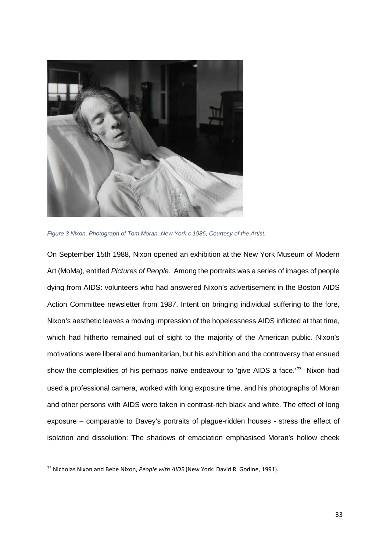

*Figure 3 Nixon, Photograph of Tom Moran, New York c 1986, Courtesy of the Artist.* 

On September 15th 1988, Nixon opened an exhibition at the New York Museum of Modern Art (MoMa), entitled *Pictures of People*. Among the portraits was a series of images of people dying from AIDS: volunteers who had answered Nixon's advertisement in the Boston AIDS Action Committee newsletter from 1987. Intent on bringing individual suffering to the fore, Nixon's aesthetic leaves a moving impression of the hopelessness AIDS inflicted at that time, which had hitherto remained out of sight to the majority of the American public. Nixon's motivations were liberal and humanitarian, but his exhibition and the controversy that ensued show the complexities of his perhaps naïve endeavour to 'give AIDS a face.<sup>'[72](#page-33-0)</sup> Nixon had used a professional camera, worked with long exposure time, and his photographs of Moran and other persons with AIDS were taken in contrast-rich black and white. The effect of long exposure – comparable to Davey's portraits of plague-ridden houses - stress the effect of isolation and dissolution: The shadows of emaciation emphasised Moran's hollow cheek

<span id="page-33-0"></span> <sup>72</sup> Nicholas Nixon and Bebe Nixon, *People with AIDS* (New York: David R. Godine, 1991).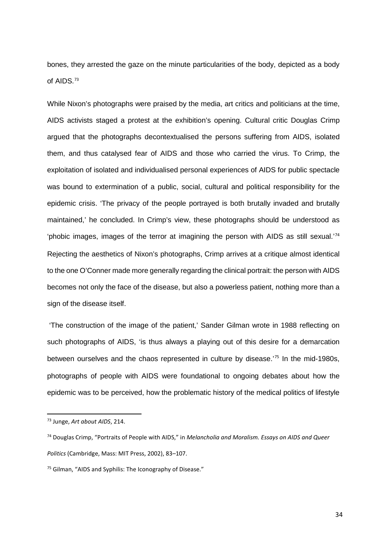bones, they arrested the gaze on the minute particularities of the body, depicted as a body of AIDS.<sup>[73](#page-34-0)</sup>

While Nixon's photographs were praised by the media, art critics and politicians at the time, AIDS activists staged a protest at the exhibition's opening. Cultural critic Douglas Crimp argued that the photographs decontextualised the persons suffering from AIDS, isolated them, and thus catalysed fear of AIDS and those who carried the virus. To Crimp, the exploitation of isolated and individualised personal experiences of AIDS for public spectacle was bound to extermination of a public, social, cultural and political responsibility for the epidemic crisis. 'The privacy of the people portrayed is both brutally invaded and brutally maintained,' he concluded. In Crimp's view, these photographs should be understood as 'phobic images, images of the terror at imagining the person with AIDS as still sexual.'[74](#page-34-1) Rejecting the aesthetics of Nixon's photographs, Crimp arrives at a critique almost identical to the one O'Conner made more generally regarding the clinical portrait: the person with AIDS becomes not only the face of the disease, but also a powerless patient, nothing more than a sign of the disease itself.

'The construction of the image of the patient,' Sander Gilman wrote in 1988 reflecting on such photographs of AIDS, 'is thus always a playing out of this desire for a demarcation between ourselves and the chaos represented in culture by disease.<sup>'[75](#page-34-2)</sup> In the mid-1980s, photographs of people with AIDS were foundational to ongoing debates about how the epidemic was to be perceived, how the problematic history of the medical politics of lifestyle

<span id="page-34-0"></span> <sup>73</sup> Junge, *Art about AIDS*, 214.

<span id="page-34-1"></span><sup>74</sup> Douglas Crimp, "Portraits of People with AIDS," in *Melancholia and Moralism. Essays on AIDS and Queer Politics* (Cambridge, Mass: MIT Press, 2002), 83–107.

<span id="page-34-2"></span><sup>&</sup>lt;sup>75</sup> Gilman, "AIDS and Syphilis: The Iconography of Disease."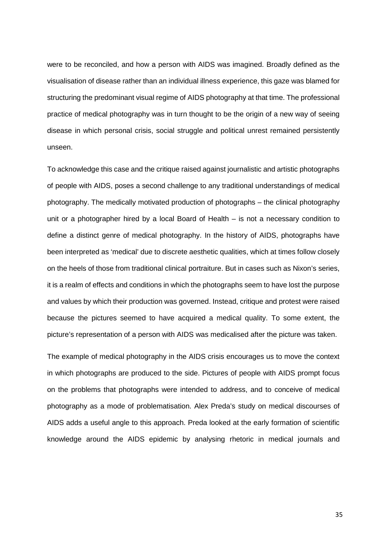were to be reconciled, and how a person with AIDS was imagined. Broadly defined as the visualisation of disease rather than an individual illness experience, this gaze was blamed for structuring the predominant visual regime of AIDS photography at that time. The professional practice of medical photography was in turn thought to be the origin of a new way of seeing disease in which personal crisis, social struggle and political unrest remained persistently unseen.

To acknowledge this case and the critique raised against journalistic and artistic photographs of people with AIDS, poses a second challenge to any traditional understandings of medical photography. The medically motivated production of photographs – the clinical photography unit or a photographer hired by a local Board of Health – is not a necessary condition to define a distinct genre of medical photography. In the history of AIDS, photographs have been interpreted as 'medical' due to discrete aesthetic qualities, which at times follow closely on the heels of those from traditional clinical portraiture. But in cases such as Nixon's series, it is a realm of effects and conditions in which the photographs seem to have lost the purpose and values by which their production was governed. Instead, critique and protest were raised because the pictures seemed to have acquired a medical quality. To some extent, the picture's representation of a person with AIDS was medicalised after the picture was taken.

The example of medical photography in the AIDS crisis encourages us to move the context in which photographs are produced to the side. Pictures of people with AIDS prompt focus on the problems that photographs were intended to address, and to conceive of medical photography as a mode of problematisation. Alex Preda's study on medical discourses of AIDS adds a useful angle to this approach. Preda looked at the early formation of scientific knowledge around the AIDS epidemic by analysing rhetoric in medical journals and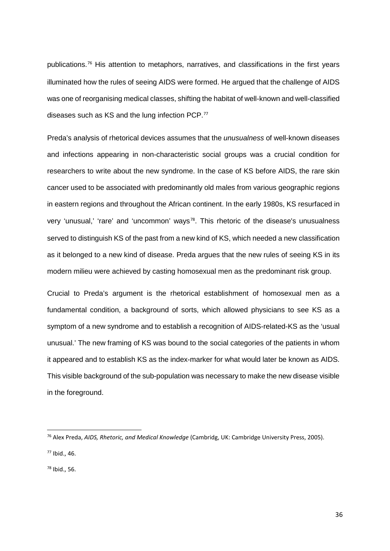publications.[76](#page-36-0) His attention to metaphors, narratives, and classifications in the first years illuminated how the rules of seeing AIDS were formed. He argued that the challenge of AIDS was one of reorganising medical classes, shifting the habitat of well-known and well-classified diseases such as KS and the lung infection PCP.<sup>[77](#page-36-1)</sup>

Preda's analysis of rhetorical devices assumes that the *unusualness* of well-known diseases and infections appearing in non-characteristic social groups was a crucial condition for researchers to write about the new syndrome. In the case of KS before AIDS, the rare skin cancer used to be associated with predominantly old males from various geographic regions in eastern regions and throughout the African continent. In the early 1980s, KS resurfaced in very 'unusual,' 'rare' and 'uncommon' ways<sup>[78](#page-36-2)</sup>. This rhetoric of the disease's unusualness served to distinguish KS of the past from a new kind of KS, which needed a new classification as it belonged to a new kind of disease. Preda argues that the new rules of seeing KS in its modern milieu were achieved by casting homosexual men as the predominant risk group.

Crucial to Preda's argument is the rhetorical establishment of homosexual men as a fundamental condition, a background of sorts, which allowed physicians to see KS as a symptom of a new syndrome and to establish a recognition of AIDS-related-KS as the 'usual unusual.' The new framing of KS was bound to the social categories of the patients in whom it appeared and to establish KS as the index-marker for what would later be known as AIDS. This visible background of the sub-population was necessary to make the new disease visible in the foreground.

<span id="page-36-1"></span><sup>77</sup> Ibid., 46.

<span id="page-36-2"></span><sup>78</sup> Ibid., 56.

<span id="page-36-0"></span> <sup>76</sup> Alex Preda, *AIDS, Rhetoric, and Medical Knowledge* (Cambridg, UK: Cambridge University Press, 2005).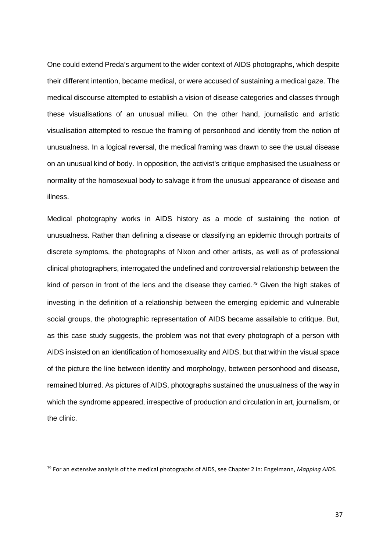One could extend Preda's argument to the wider context of AIDS photographs, which despite their different intention, became medical, or were accused of sustaining a medical gaze. The medical discourse attempted to establish a vision of disease categories and classes through these visualisations of an unusual milieu. On the other hand, journalistic and artistic visualisation attempted to rescue the framing of personhood and identity from the notion of unusualness. In a logical reversal, the medical framing was drawn to see the usual disease on an unusual kind of body. In opposition, the activist's critique emphasised the usualness or normality of the homosexual body to salvage it from the unusual appearance of disease and illness.

Medical photography works in AIDS history as a mode of sustaining the notion of unusualness. Rather than defining a disease or classifying an epidemic through portraits of discrete symptoms, the photographs of Nixon and other artists, as well as of professional clinical photographers, interrogated the undefined and controversial relationship between the kind of person in front of the lens and the disease they carried.<sup>[79](#page-37-0)</sup> Given the high stakes of investing in the definition of a relationship between the emerging epidemic and vulnerable social groups, the photographic representation of AIDS became assailable to critique. But, as this case study suggests, the problem was not that every photograph of a person with AIDS insisted on an identification of homosexuality and AIDS, but that within the visual space of the picture the line between identity and morphology, between personhood and disease, remained blurred. As pictures of AIDS, photographs sustained the unusualness of the way in which the syndrome appeared, irrespective of production and circulation in art, journalism, or the clinic.

<span id="page-37-0"></span> <sup>79</sup> For an extensive analysis of the medical photographs of AIDS, see Chapter 2 in: Engelmann, *Mapping AIDS*.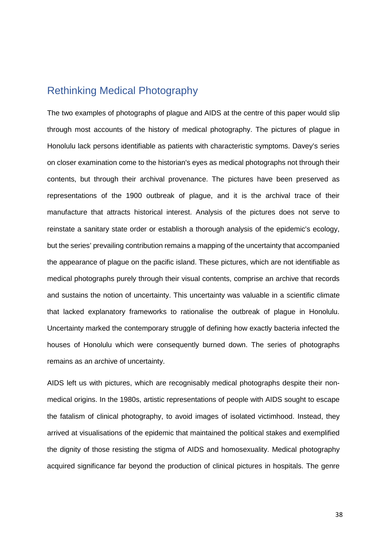### Rethinking Medical Photography

The two examples of photographs of plague and AIDS at the centre of this paper would slip through most accounts of the history of medical photography. The pictures of plague in Honolulu lack persons identifiable as patients with characteristic symptoms. Davey's series on closer examination come to the historian's eyes as medical photographs not through their contents, but through their archival provenance. The pictures have been preserved as representations of the 1900 outbreak of plague, and it is the archival trace of their manufacture that attracts historical interest. Analysis of the pictures does not serve to reinstate a sanitary state order or establish a thorough analysis of the epidemic's ecology, but the series' prevailing contribution remains a mapping of the uncertainty that accompanied the appearance of plague on the pacific island. These pictures, which are not identifiable as medical photographs purely through their visual contents, comprise an archive that records and sustains the notion of uncertainty. This uncertainty was valuable in a scientific climate that lacked explanatory frameworks to rationalise the outbreak of plague in Honolulu. Uncertainty marked the contemporary struggle of defining how exactly bacteria infected the houses of Honolulu which were consequently burned down. The series of photographs remains as an archive of uncertainty.

AIDS left us with pictures, which are recognisably medical photographs despite their nonmedical origins. In the 1980s, artistic representations of people with AIDS sought to escape the fatalism of clinical photography, to avoid images of isolated victimhood. Instead, they arrived at visualisations of the epidemic that maintained the political stakes and exemplified the dignity of those resisting the stigma of AIDS and homosexuality. Medical photography acquired significance far beyond the production of clinical pictures in hospitals. The genre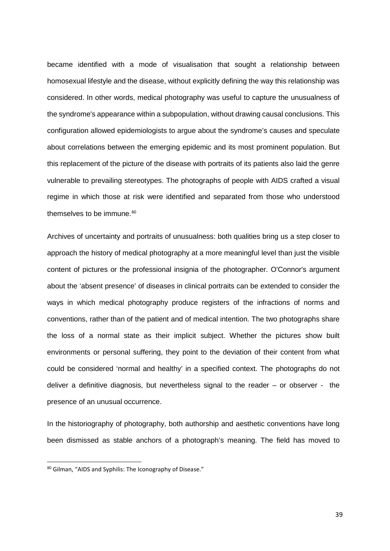became identified with a mode of visualisation that sought a relationship between homosexual lifestyle and the disease, without explicitly defining the way this relationship was considered. In other words, medical photography was useful to capture the unusualness of the syndrome's appearance within a subpopulation, without drawing causal conclusions. This configuration allowed epidemiologists to argue about the syndrome's causes and speculate about correlations between the emerging epidemic and its most prominent population. But this replacement of the picture of the disease with portraits of its patients also laid the genre vulnerable to prevailing stereotypes. The photographs of people with AIDS crafted a visual regime in which those at risk were identified and separated from those who understood themselves to be immune.<sup>[80](#page-39-0)</sup>

Archives of uncertainty and portraits of unusualness: both qualities bring us a step closer to approach the history of medical photography at a more meaningful level than just the visible content of pictures or the professional insignia of the photographer. O'Connor's argument about the 'absent presence' of diseases in clinical portraits can be extended to consider the ways in which medical photography produce registers of the infractions of norms and conventions, rather than of the patient and of medical intention. The two photographs share the loss of a normal state as their implicit subject. Whether the pictures show built environments or personal suffering, they point to the deviation of their content from what could be considered 'normal and healthy' in a specified context. The photographs do not deliver a definitive diagnosis, but nevertheless signal to the reader – or observer - the presence of an unusual occurrence.

In the historiography of photography, both authorship and aesthetic conventions have long been dismissed as stable anchors of a photograph's meaning. The field has moved to

<span id="page-39-0"></span><sup>80</sup> Gilman, "AIDS and Syphilis: The Iconography of Disease."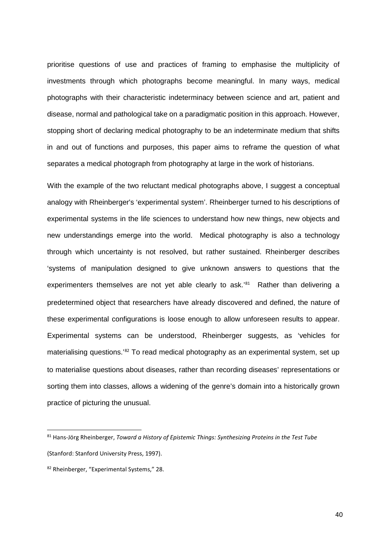prioritise questions of use and practices of framing to emphasise the multiplicity of investments through which photographs become meaningful. In many ways, medical photographs with their characteristic indeterminacy between science and art, patient and disease, normal and pathological take on a paradigmatic position in this approach. However, stopping short of declaring medical photography to be an indeterminate medium that shifts in and out of functions and purposes, this paper aims to reframe the question of what separates a medical photograph from photography at large in the work of historians.

With the example of the two reluctant medical photographs above. I suggest a conceptual analogy with Rheinberger's 'experimental system'. Rheinberger turned to his descriptions of experimental systems in the life sciences to understand how new things, new objects and new understandings emerge into the world. Medical photography is also a technology through which uncertainty is not resolved, but rather sustained. Rheinberger describes 'systems of manipulation designed to give unknown answers to questions that the experimenters themselves are not yet able clearly to ask.'<sup>[81](#page-40-0)</sup> Rather than delivering a predetermined object that researchers have already discovered and defined, the nature of these experimental configurations is loose enough to allow unforeseen results to appear. Experimental systems can be understood, Rheinberger suggests, as 'vehicles for materialising questions.<sup>'[82](#page-40-1)</sup> To read medical photography as an experimental system, set up to materialise questions about diseases, rather than recording diseases' representations or sorting them into classes, allows a widening of the genre's domain into a historically grown practice of picturing the unusual.

<span id="page-40-0"></span> <sup>81</sup> Hans-Jörg Rheinberger, *Toward a History of Epistemic Things: Synthesizing Proteins in the Test Tube* (Stanford: Stanford University Press, 1997).

<span id="page-40-1"></span><sup>82</sup> Rheinberger, "Experimental Systems," 28.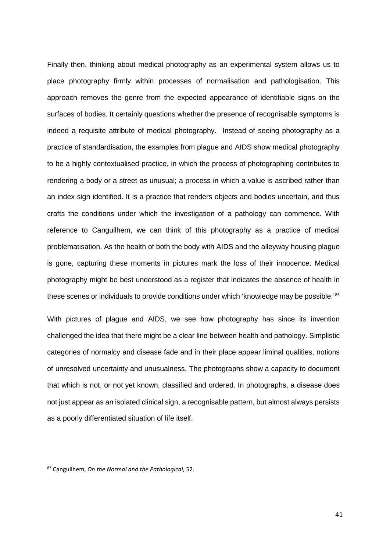Finally then, thinking about medical photography as an experimental system allows us to place photography firmly within processes of normalisation and pathologisation. This approach removes the genre from the expected appearance of identifiable signs on the surfaces of bodies. It certainly questions whether the presence of recognisable symptoms is indeed a requisite attribute of medical photography. Instead of seeing photography as a practice of standardisation, the examples from plague and AIDS show medical photography to be a highly contextualised practice, in which the process of photographing contributes to rendering a body or a street as unusual; a process in which a value is ascribed rather than an index sign identified. It is a practice that renders objects and bodies uncertain, and thus crafts the conditions under which the investigation of a pathology can commence. With reference to Canguilhem, we can think of this photography as a practice of medical problematisation. As the health of both the body with AIDS and the alleyway housing plague is gone, capturing these moments in pictures mark the loss of their innocence. Medical photography might be best understood as a register that indicates the absence of health in these scenes or individuals to provide conditions under which 'knowledge may be possible.'<sup>[83](#page-41-0)</sup>

With pictures of plague and AIDS, we see how photography has since its invention challenged the idea that there might be a clear line between health and pathology. Simplistic categories of normalcy and disease fade and in their place appear liminal qualities, notions of unresolved uncertainty and unusualness. The photographs show a capacity to document that which is not, or not yet known, classified and ordered. In photographs, a disease does not just appear as an isolated clinical sign, a recognisable pattern, but almost always persists as a poorly differentiated situation of life itself.

<span id="page-41-0"></span> <sup>83</sup> Canguilhem, *On the Normal and the Pathological*, 52.